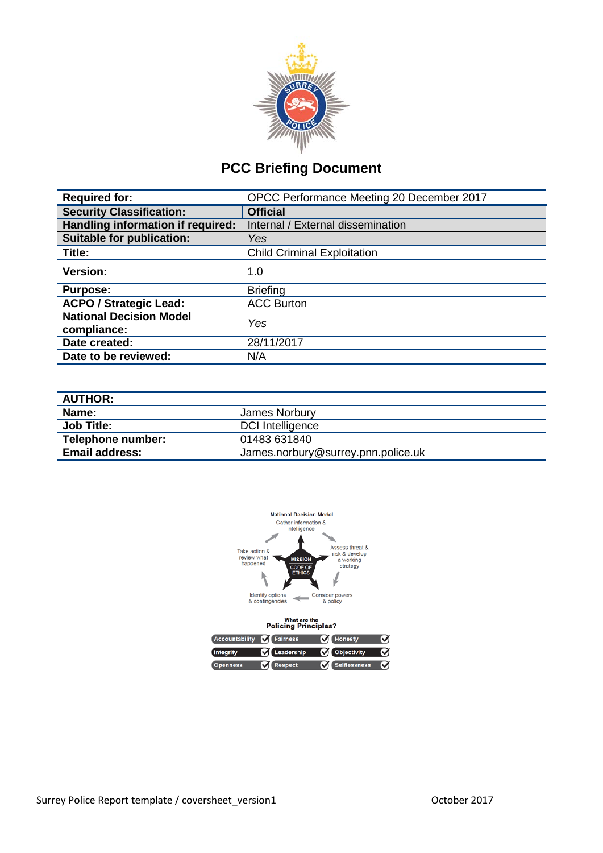

# **PCC Briefing Document**

| <b>Required for:</b>                          | OPCC Performance Meeting 20 December 2017 |  |  |
|-----------------------------------------------|-------------------------------------------|--|--|
| <b>Security Classification:</b>               | <b>Official</b>                           |  |  |
| Handling information if required:             | Internal / External dissemination         |  |  |
| <b>Suitable for publication:</b>              | Yes                                       |  |  |
| Title:                                        | <b>Child Criminal Exploitation</b>        |  |  |
| Version:                                      | 1.0                                       |  |  |
| <b>Purpose:</b>                               | <b>Briefing</b>                           |  |  |
| <b>ACPO / Strategic Lead:</b>                 | <b>ACC Burton</b>                         |  |  |
| <b>National Decision Model</b><br>compliance: | Yes                                       |  |  |
| Date created:                                 | 28/11/2017                                |  |  |
| Date to be reviewed:                          | N/A                                       |  |  |

| <b>AUTHOR:</b>        |                                    |
|-----------------------|------------------------------------|
| <b>Name:</b>          | James Norbury                      |
| <b>Job Title:</b>     | DCI Intelligence                   |
| Telephone number:     | 01483 631840                       |
| <b>Email address:</b> | James.norbury@surrey.pnn.police.uk |



| <b>Policing Principles?</b>       |                  |                        |   |  |  |
|-----------------------------------|------------------|------------------------|---|--|--|
| Accountability <b>Of</b> Fairness |                  | <b>M</b> Honesty       | ທ |  |  |
| <b>Integrity</b>                  | C Leadership     | <b>Objectivity</b>     | M |  |  |
| <b>Openness</b>                   | <b>V</b> Respect | <b>Vi</b> Selflessness | ທ |  |  |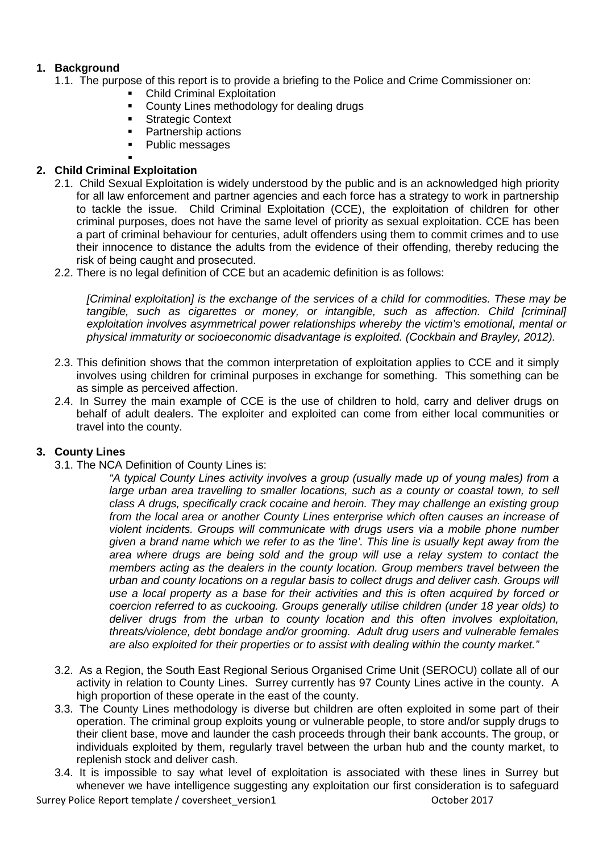# **1. Background**

- 1.1. The purpose of this report is to provide a briefing to the Police and Crime Commissioner on:
	- Child Criminal Exploitation<br>• County Lines methodology
		- County Lines methodology for dealing drugs
	- **Strategic Context**
	- Partnership actions
	- Public messages

#### . **2. Child Criminal Exploitation**

- 2.1. Child Sexual Exploitation is widely understood by the public and is an acknowledged high priority for all law enforcement and partner agencies and each force has a strategy to work in partnership to tackle the issue. Child Criminal Exploitation (CCE), the exploitation of children for other criminal purposes, does not have the same level of priority as sexual exploitation. CCE has been a part of criminal behaviour for centuries, adult offenders using them to commit crimes and to use their innocence to distance the adults from the evidence of their offending, thereby reducing the risk of being caught and prosecuted.
- 2.2. There is no legal definition of CCE but an academic definition is as follows:

*[Criminal exploitation] is the exchange of the services of a child for commodities. These may be tangible, such as cigarettes or money, or intangible, such as affection. Child [criminal] exploitation involves asymmetrical power relationships whereby the victim's emotional, mental or physical immaturity or socioeconomic disadvantage is exploited. (Cockbain and Brayley, 2012).*

- 2.3. This definition shows that the common interpretation of exploitation applies to CCE and it simply involves using children for criminal purposes in exchange for something. This something can be as simple as perceived affection.
- 2.4. In Surrey the main example of CCE is the use of children to hold, carry and deliver drugs on behalf of adult dealers. The exploiter and exploited can come from either local communities or travel into the county.

# **3. County Lines**

3.1. The NCA Definition of County Lines is:

*"A typical County Lines activity involves a group (usually made up of young males) from a large urban area travelling to smaller locations, such as a county or coastal town, to sell class A drugs, specifically crack cocaine and heroin. They may challenge an existing group from the local area or another County Lines enterprise which often causes an increase of violent incidents. Groups will communicate with drugs users via a mobile phone number given a brand name which we refer to as the 'line'. This line is usually kept away from the area where drugs are being sold and the group will use a relay system to contact the members acting as the dealers in the county location. Group members travel between the urban and county locations on a regular basis to collect drugs and deliver cash. Groups will use a local property as a base for their activities and this is often acquired by forced or coercion referred to as cuckooing. Groups generally utilise children (under 18 year olds) to deliver drugs from the urban to county location and this often involves exploitation, threats/violence, debt bondage and/or grooming. Adult drug users and vulnerable females are also exploited for their properties or to assist with dealing within the county market."*

- 3.2. As a Region, the South East Regional Serious Organised Crime Unit (SEROCU) collate all of our activity in relation to County Lines. Surrey currently has 97 County Lines active in the county. A high proportion of these operate in the east of the county.
- 3.3. The County Lines methodology is diverse but children are often exploited in some part of their operation. The criminal group exploits young or vulnerable people, to store and/or supply drugs to their client base, move and launder the cash proceeds through their bank accounts. The group, or individuals exploited by them, regularly travel between the urban hub and the county market, to replenish stock and deliver cash.
- 3.4. It is impossible to say what level of exploitation is associated with these lines in Surrey but whenever we have intelligence suggesting any exploitation our first consideration is to safeguard

Surrey Police Report template / coversheet\_version1 0ctober 2017